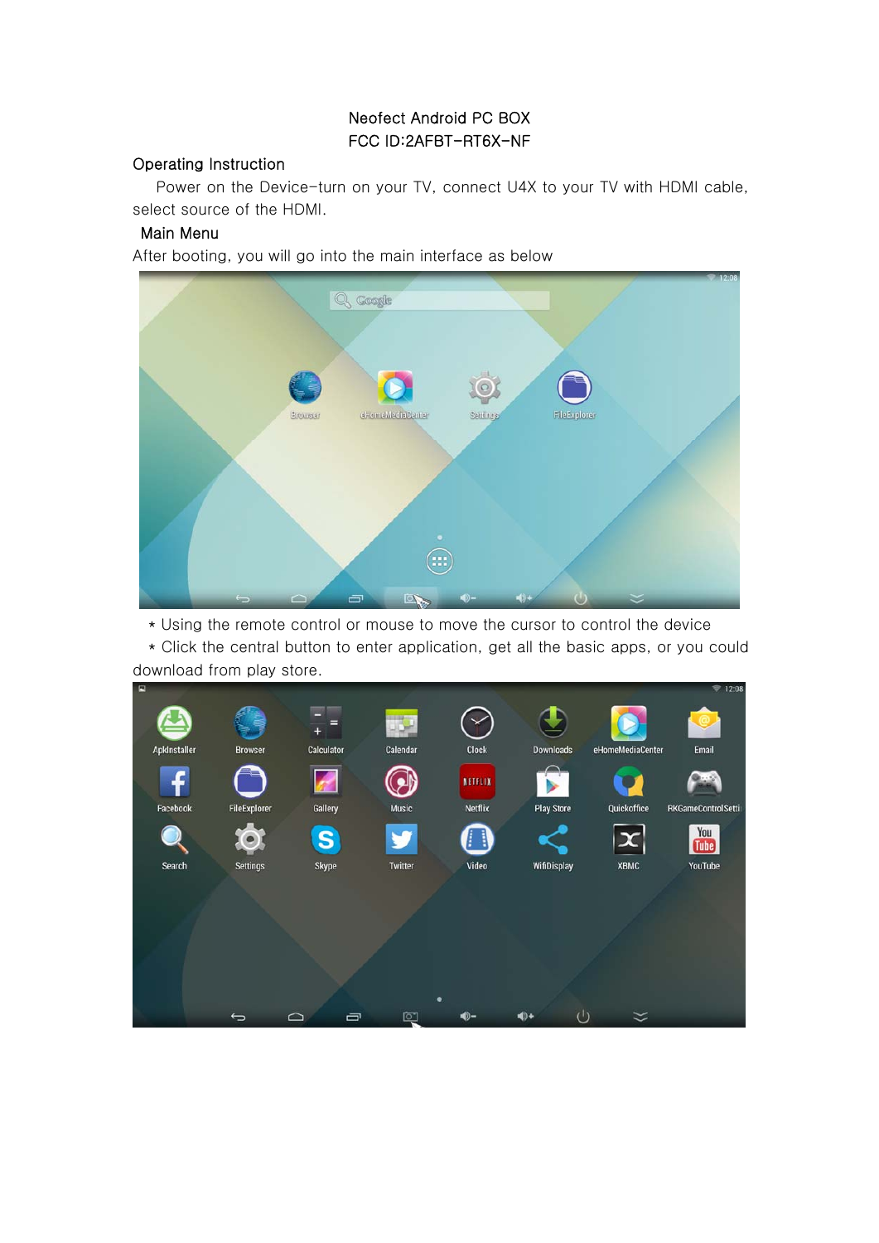# Neofect Android PC BOX FCC ID:2AFBT-RT6X-NF

### Operating Instruction

Power on the Device-turn on your TV, connect U4X to your TV with HDMI cable, select source of the HDMI.

### Main Menu

After booting, you will go into the main interface as below



\* Using the remote control or mouse to move the cursor to control the device

\* Click the central button to enter application, get all the basic apps, or you could download from play store.

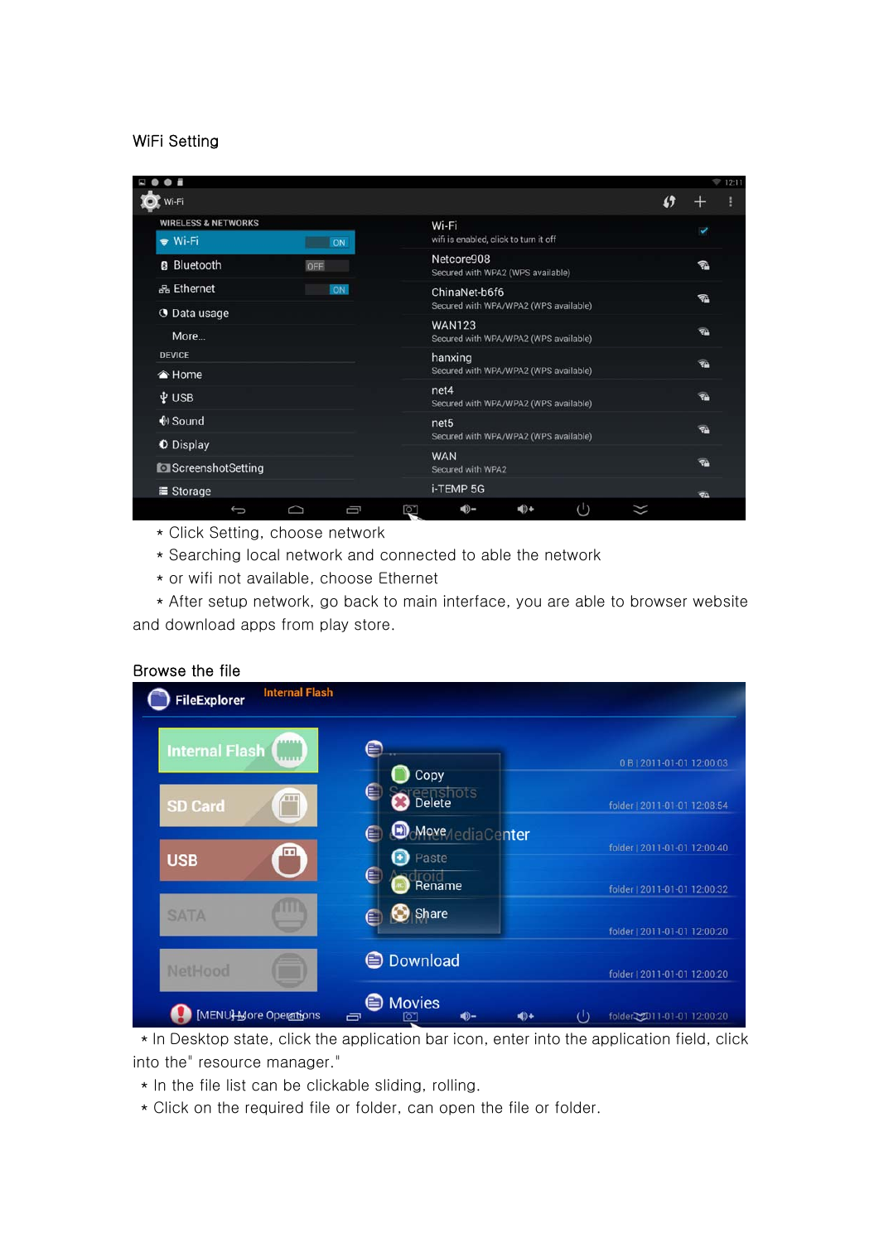### WiFi Setting

|                                |        |   |                                                 |              |                          | ₹ 12:11 |
|--------------------------------|--------|---|-------------------------------------------------|--------------|--------------------------|---------|
| Wi-Fi                          |        |   |                                                 | $\mathbf{f}$ |                          |         |
| <b>WIRELESS &amp; NETWORKS</b> |        |   | Wi-Fi                                           |              | ✓                        |         |
| <b>→ Wi-Fi</b>                 | ON     |   | wifi is enabled, click to turn it off           |              |                          |         |
| <b>B</b> Bluetooth             | OFF    |   | Netcore908<br>Secured with WPA2 (WPS available) |              | 包                        |         |
| 옮 Ethernet                     | ON     |   | ChinaNet-b6f6                                   |              | 名                        |         |
| <b>O</b> Data usage            |        |   | Secured with WPA/WPA2 (WPS available)           |              |                          |         |
|                                |        |   | <b>WAN123</b>                                   |              | <b>TA</b>                |         |
| More                           |        |   | Secured with WPA/WPA2 (WPS available)           |              |                          |         |
| <b>DEVICE</b>                  |        |   | hanxing                                         |              | <b>TA</b>                |         |
| <b>▲ Home</b>                  |        |   | Secured with WPA/WPA2 (WPS available)           |              |                          |         |
| i USB                          |        |   | net4                                            |              | ☜                        |         |
|                                |        |   | Secured with WPA/WPA2 (WPS available)           |              |                          |         |
| ♦ Sound                        |        |   | net <sub>5</sub>                                |              | <b>TA</b>                |         |
| O Display                      |        |   | Secured with WPA/WPA2 (WPS available)           |              |                          |         |
| ScreenshotSetting              |        |   | <b>WAN</b><br>Secured with WPA2                 |              | <b>TA</b>                |         |
|                                |        |   |                                                 |              |                          |         |
| ■ Storage                      |        |   | i-TEMP 5G                                       |              | $\overline{\mathcal{A}}$ |         |
| $\overline{C}$                 | $\Box$ | Ū | $\cup$<br>40-<br>(⊚+<br>ð                       |              |                          |         |

- \* Click Setting, choose network
- \* Searching local network and connected to able the network
- \* or wifi not available, choose Ethernet

\* After setup network, go back to main interface, you are able to browser website and download apps from play store.

#### Browse the file

| <b>Internal Flash</b> | ,,,,,,<br>11111 | ≘                             | 0B   2011-01-01 12:00:03     |
|-----------------------|-----------------|-------------------------------|------------------------------|
|                       |                 | Copy                          |                              |
| <b>SD Card</b>        | <b>URI</b>      | ⋹<br>eenshotsi                | folder   2011-01-01 12:08:54 |
|                       |                 | <b>Move</b> / ediaCenter<br>⋹ |                              |
| <b>USB</b>            | $\blacksquare$  | Paste                         | folder   2011-01-01 12:00:40 |
|                       |                 | $\blacksquare$<br>Rename      | folder   2011-01-01 12:00:32 |
| <b>SATA</b>           |                 | $\bigcirc$ Share<br>E         |                              |
|                       |                 |                               | folder   2011-01-01 12:00:20 |
| NetHood               |                 | <b>Download</b>               | folder   2011-01-01 12:00:20 |

\* In Desktop state, click the application bar icon, enter into the application field, click into the" resource manager."

- \* In the file list can be clickable sliding, rolling.
- \* Click on the required file or folder, can open the file or folder.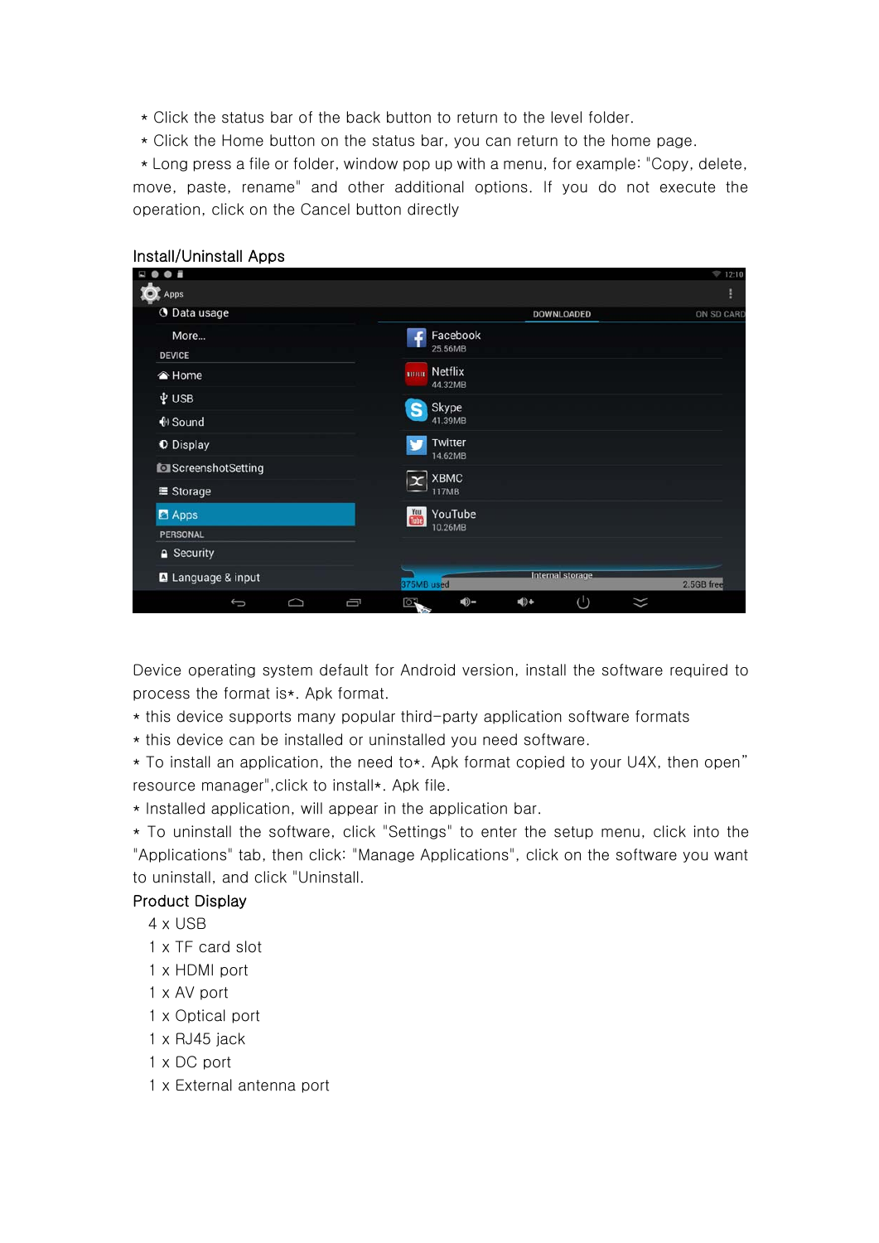- \* Click the status bar of the back button to return to the level folder.
- \* Click the Home button on the status bar, you can return to the home page.

\* Long press a file or folder, window pop up with a menu, for example: "Copy, delete, move, paste, rename" and other additional options. If you do not execute the operation, click on the Cancel button directly

| $\bullet$ =         |                                               | ₹ 12:10    |
|---------------------|-----------------------------------------------|------------|
| Apps                |                                               | H          |
| <b>O</b> Data usage | <b>DOWNLOADED</b>                             | ON SD CARD |
| More                | Facebook                                      |            |
| <b>DEVICE</b>       | 25.56MB                                       |            |
| <b>▲ Home</b>       | Netflix<br>мини-<br>44.32MB                   |            |
| V USB               | Skype                                         |            |
| ♦ Sound             | S<br>41.39MB                                  |            |
| <b>O</b> Display    | Twitter<br>14.62MB                            |            |
| ScreenshotSetting   |                                               |            |
| ■ Storage           | <b>XBMC</b><br><b>117MB</b>                   |            |
| <b>Z</b> Apps       | $\frac{Y_{01}}{U_{02}}$<br>YouTube            |            |
| PERSONAL            | 10.26MB                                       |            |
| <b>△</b> Security   |                                               |            |
| A Language & input  | <b>Internal storage</b><br>375MB used         | 2.5GB free |
| O<br>Ū<br>Û         | $\binom{1}{2}$<br>(⊜∎<br>$\blacklozenge$<br>q | $\asymp$   |

#### Install/Uninstall Apps

Device operating system default for Android version, install the software required to process the format is\*. Apk format.

- \* this device supports many popular third-party application software formats
- \* this device can be installed or uninstalled you need software.

\* To install an application, the need to\*. Apk format copied to your U4X, then open" resource manager",click to install\*. Apk file.

\* Installed application, will appear in the application bar.

\* To uninstall the software, click "Settings" to enter the setup menu, click into the "Applications" tab, then click: "Manage Applications", click on the software you want to uninstall, and click "Uninstall.

# Product Display

- 4 x USB
- 1 x TF card slot
- 1 x HDMI port
- 1 x AV port
- 1 x Optical port
- 1 x RJ45 jack
- 1 x DC port
- 1 x External antenna port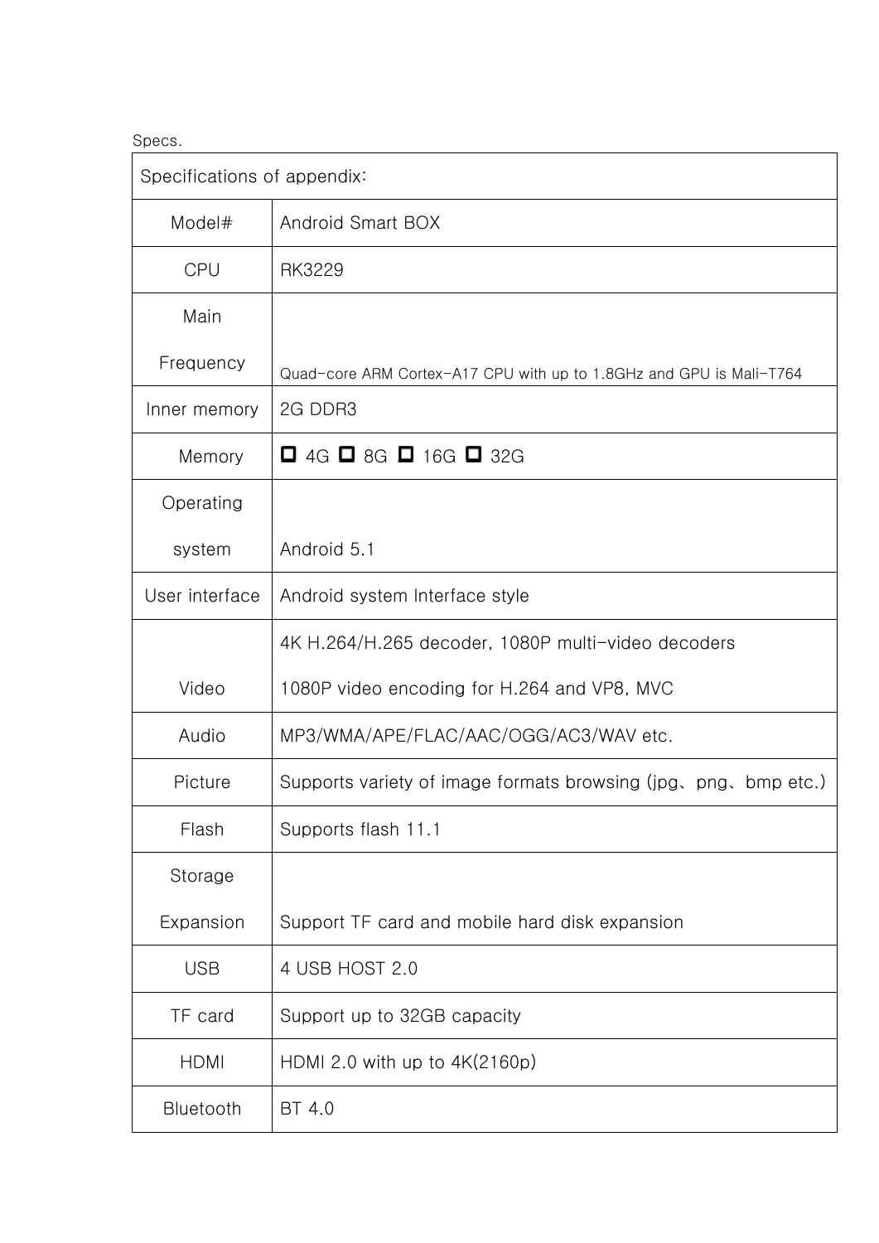# Specs.

| Specifications of appendix: |                                                                     |
|-----------------------------|---------------------------------------------------------------------|
| Model#                      | Android Smart BOX                                                   |
| <b>CPU</b>                  | RK3229                                                              |
| Main                        |                                                                     |
| Frequency                   | Quad-core ARM Cortex-A17 CPU with up to 1.8GHz and GPU is Mali-T764 |
| Inner memory                | 2G DDR3                                                             |
| Memory                      | $\Box$ 4G $\Box$ 8G $\Box$ 16G $\Box$ 32G                           |
| Operating                   |                                                                     |
| system                      | Android 5.1                                                         |
| User interface              | Android system Interface style                                      |
|                             | 4K H.264/H.265 decoder, 1080P multi-video decoders                  |
| Video                       | 1080P video encoding for H.264 and VP8, MVC                         |
| Audio                       | MP3/WMA/APE/FLAC/AAC/OGG/AC3/WAV etc.                               |
| Picture                     | Supports variety of image formats browsing (jpg, png, bmp etc.)     |
| Flash                       | Supports flash 11.1                                                 |
| Storage                     |                                                                     |
| Expansion                   | Support TF card and mobile hard disk expansion                      |
| <b>USB</b>                  | 4 USB HOST 2.0                                                      |
| TF card                     | Support up to 32GB capacity                                         |
| <b>HDMI</b>                 | HDMI 2.0 with up to $4K(2160p)$                                     |
| Bluetooth                   | BT 4.0                                                              |